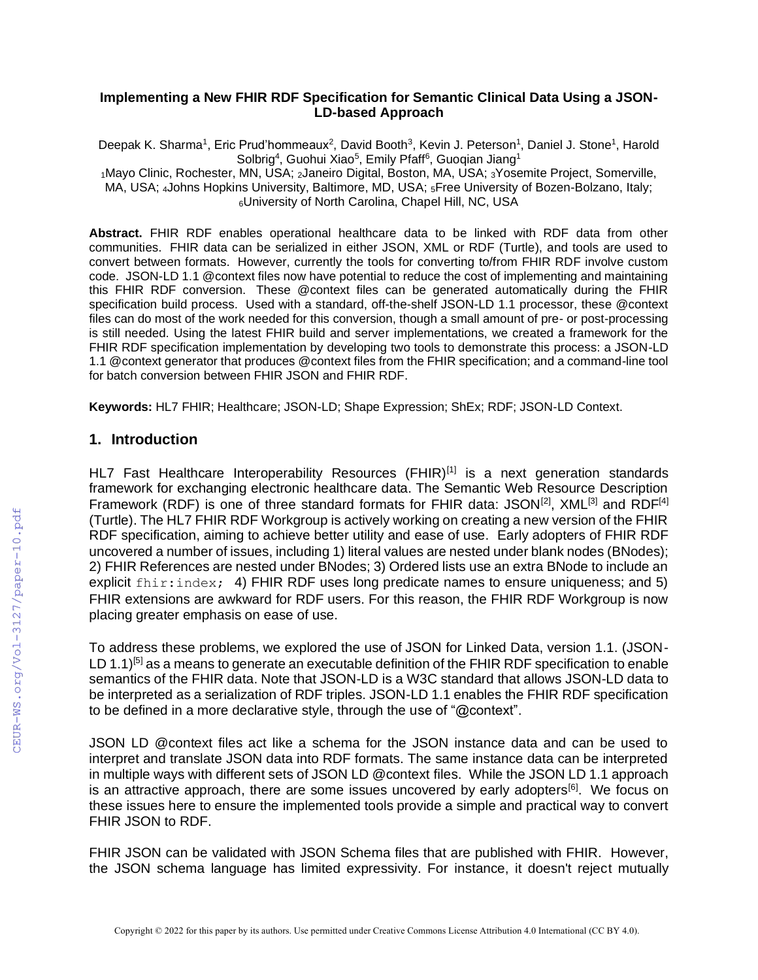#### **Implementing a New FHIR RDF Specification for Semantic Clinical Data Using a JSON-LD-based Approach**

Deepak K. Sharma<sup>1</sup>, Eric Prud'hommeaux<sup>2</sup>, David Booth<sup>3</sup>, Kevin J. Peterson<sup>1</sup>, Daniel J. Stone<sup>1</sup>, Harold Solbrig<sup>4</sup>, Guohui Xiao<sup>5</sup>, Emily Pfaff<sup>6</sup>, Guoqian Jiang<sup>1</sup>

<sup>1</sup>Mayo Clinic, Rochester, MN, USA; 2Janeiro Digital, Boston, MA, USA; 3Yosemite Project, Somerville, MA, USA; 4Johns Hopkins University, Baltimore, MD, USA; 5Free University of Bozen-Bolzano, Italy; <sup>6</sup>University of North Carolina, Chapel Hill, NC, USA

**Abstract.** FHIR RDF enables operational healthcare data to be linked with RDF data from other communities. FHIR data can be serialized in either JSON, XML or RDF (Turtle), and tools are used to convert between formats. However, currently the tools for converting to/from FHIR RDF involve custom code. JSON-LD 1.1 @context files now have potential to reduce the cost of implementing and maintaining this FHIR RDF conversion. These @context files can be generated automatically during the FHIR specification build process. Used with a standard, off-the-shelf JSON-LD 1.1 processor, these @context files can do most of the work needed for this conversion, though a small amount of pre- or post-processing is still needed. Using the latest FHIR build and server implementations, we created a framework for the FHIR RDF specification implementation by developing two tools to demonstrate this process: a JSON-LD 1.1 @context generator that produces @context files from the FHIR specification; and a command-line tool for batch conversion between FHIR JSON and FHIR RDF.

**Keywords:** HL7 FHIR; Healthcare; JSON-LD; Shape Expression; ShEx; RDF; JSON-LD Context.

## **1. Introduction**

HL7 Fast Healthcare Interoperability Resources (FHIR)<sup>[1]</sup> is a next generation standards framework for exchanging electronic healthcare data. The Semantic Web Resource Description Framework (RDF) is one of three standard formats for FHIR data: JSON<sup>[2]</sup>, XML<sup>[3]</sup> and RDF<sup>[4]</sup> (Turtle). The HL7 FHIR RDF Workgroup is actively working on creating a new version of the FHIR RDF specification, aiming to achieve better utility and ease of use. Early adopters of FHIR RDF uncovered a number of issues, including 1) literal values are nested under blank nodes (BNodes); 2) FHIR References are nested under BNodes; 3) Ordered lists use an extra BNode to include an explicit fhir:index; 4) FHIR RDF uses long predicate names to ensure uniqueness; and 5) FHIR extensions are awkward for RDF users. For this reason, the FHIR RDF Workgroup is now placing greater emphasis on ease of use.

To address these problems, we explored the use of JSON for Linked Data, version 1.1. (JSON-LD 1.1)<sup>[5]</sup> as a means to generate an executable definition of the FHIR RDF specification to enable semantics of the FHIR data. Note that JSON-LD is a W3C standard that allows JSON-LD data to be interpreted as a serialization of RDF triples. JSON-LD 1.1 enables the FHIR RDF specification to be defined in a more declarative style, through the use of "@context".

JSON LD @context files act like a schema for the JSON instance data and can be used to interpret and translate JSON data into RDF formats. The same instance data can be interpreted in multiple ways with different sets of JSON LD @context files. While the JSON LD 1.1 approach is an attractive approach, there are some issues uncovered by early adopters<sup>[6]</sup>. We focus on these issues here to ensure the implemented tools provide a simple and practical way to convert FHIR JSON to RDF.

FHIR JSON can be validated with JSON Schema files that are published with FHIR. However, the JSON schema language has limited expressivity. For instance, it doesn't reject mutually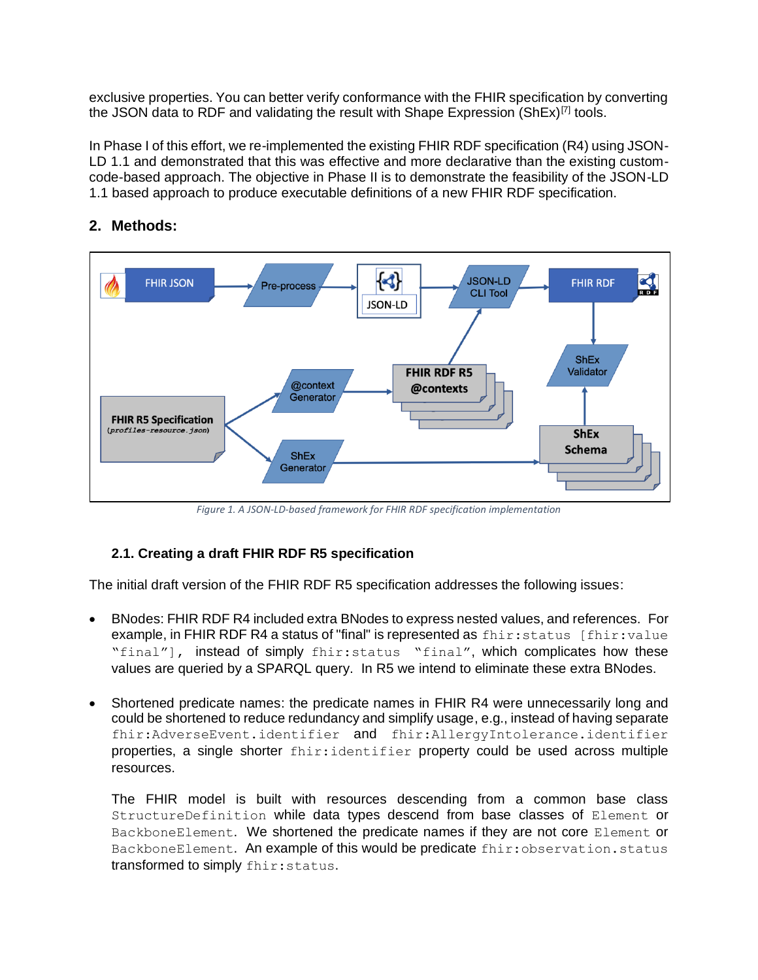exclusive properties. You can better verify conformance with the FHIR specification by converting the JSON data to RDF and validating the result with Shape Expression  $(ShEx)^{[7]}$  tools.

In Phase I of this effort, we re-implemented the existing FHIR RDF specification (R4) using JSON-LD 1.1 and demonstrated that this was effective and more declarative than the existing customcode-based approach. The objective in Phase II is to demonstrate the feasibility of the JSON-LD 1.1 based approach to produce executable definitions of a new FHIR RDF specification.

# **2. Methods:**



*Figure 1. A JSON-LD-based framework for FHIR RDF specification implementation*

# **2.1. Creating a draft FHIR RDF R5 specification**

The initial draft version of the FHIR RDF R5 specification addresses the following issues:

- BNodes: FHIR RDF R4 included extra BNodes to express nested values, and references. For example, in FHIR RDF R4 a status of "final" is represented as  $fhir:status$  [fhir:value "final"], instead of simply fhir:status "final", which complicates how these values are queried by a SPARQL query. In R5 we intend to eliminate these extra BNodes.
- Shortened predicate names: the predicate names in FHIR R4 were unnecessarily long and could be shortened to reduce redundancy and simplify usage, e.g., instead of having separate fhir:AdverseEvent.identifier and fhir:AllergyIntolerance.identifier properties, a single shorter fhir:identifier property could be used across multiple resources.

The FHIR model is built with resources descending from a common base class StructureDefinition while data types descend from base classes of Element or BackboneElement. We shortened the predicate names if they are not core Element or BackboneElement. An example of this would be predicate fhir: observation.status transformed to simply fhir:status.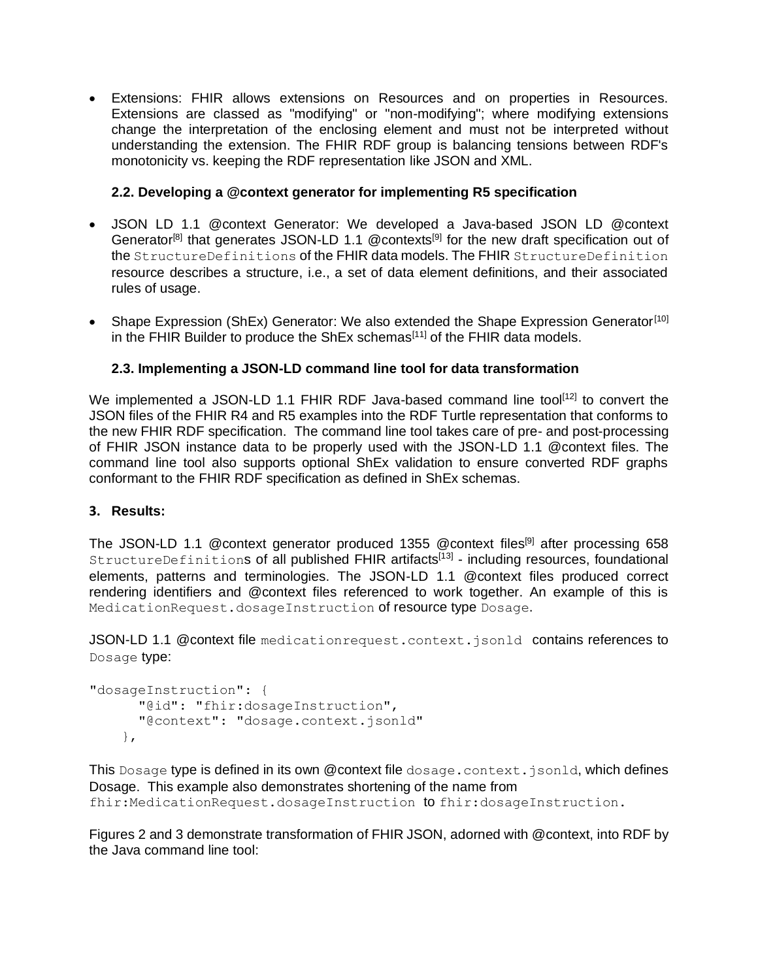• Extensions: FHIR allows extensions on Resources and on properties in Resources. Extensions are classed as "modifying" or "non-modifying"; where modifying extensions change the interpretation of the enclosing element and must not be interpreted without understanding the extension. The FHIR RDF group is balancing tensions between RDF's monotonicity vs. keeping the RDF representation like JSON and XML.

## **2.2. Developing a @context generator for implementing R5 specification**

- JSON LD 1.1 @context Generator: We developed a Java-based JSON LD @context Generator<sup>[8]</sup> that generates JSON-LD 1.1 @contexts<sup>[9]</sup> for the new draft specification out of the StructureDefinitions of the FHIR data models. The FHIR StructureDefinition resource describes a structure, i.e., a set of data element definitions, and their associated rules of usage.
- Shape Expression (ShEx) Generator: We also extended the Shape Expression Generator<sup>[10]</sup> in the FHIR Builder to produce the ShEx schemas<sup>[11]</sup> of the FHIR data models.

### **2.3. Implementing a JSON-LD command line tool for data transformation**

We implemented a JSON-LD 1.1 FHIR RDF Java-based command line tool<sup>[12]</sup> to convert the JSON files of the FHIR R4 and R5 examples into the RDF Turtle representation that conforms to the new FHIR RDF specification. The command line tool takes care of pre- and post-processing of FHIR JSON instance data to be properly used with the JSON-LD 1.1 @context files. The command line tool also supports optional ShEx validation to ensure converted RDF graphs conformant to the FHIR RDF specification as defined in ShEx schemas.

#### **3. Results:**

The JSON-LD 1.1 @context generator produced 1355 @context files<sup>[9]</sup> after processing 658 StructureDefinitions of all published FHIR artifacts<sup>[13]</sup> - including resources, foundational elements, patterns and terminologies. The JSON-LD 1.1 @context files produced correct rendering identifiers and @context files referenced to work together. An example of this is MedicationRequest.dosageInstruction of resource type Dosage.

JSON-LD 1.1 @ context file medication request.context.jsonld contains references to Dosage type:

```
"dosageInstruction": {
  "@id": "fhir:dosageInstruction",
  "@context": "dosage.context.jsonld"
},
```
This Dosage type is defined in its own @context file dosage.context.jsonld, which defines Dosage. This example also demonstrates shortening of the name from fhir:MedicationRequest.dosageInstruction to fhir:dosageInstruction.

Figures 2 and 3 demonstrate transformation of FHIR JSON, adorned with @context, into RDF by the Java command line tool: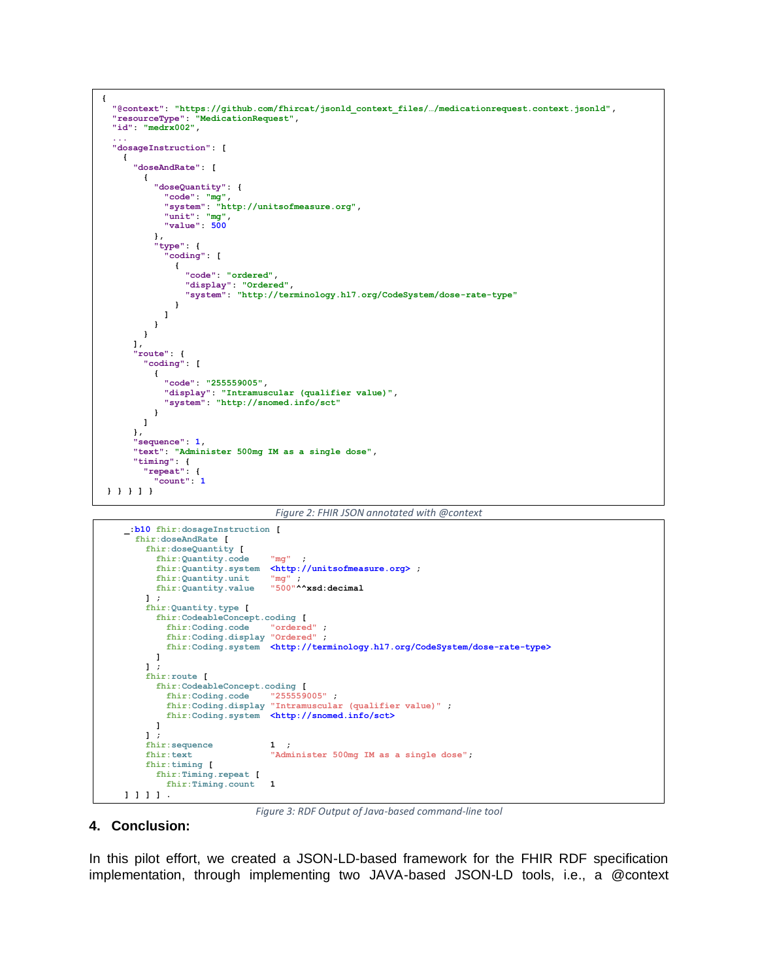





*Figure 3: RDF Output of Java-based command-line tool*

#### **4. Conclusion:**

In this pilot effort, we created a JSON-LD-based framework for the FHIR RDF specification implementation, through implementing two JAVA-based JSON-LD tools, i.e., a @context